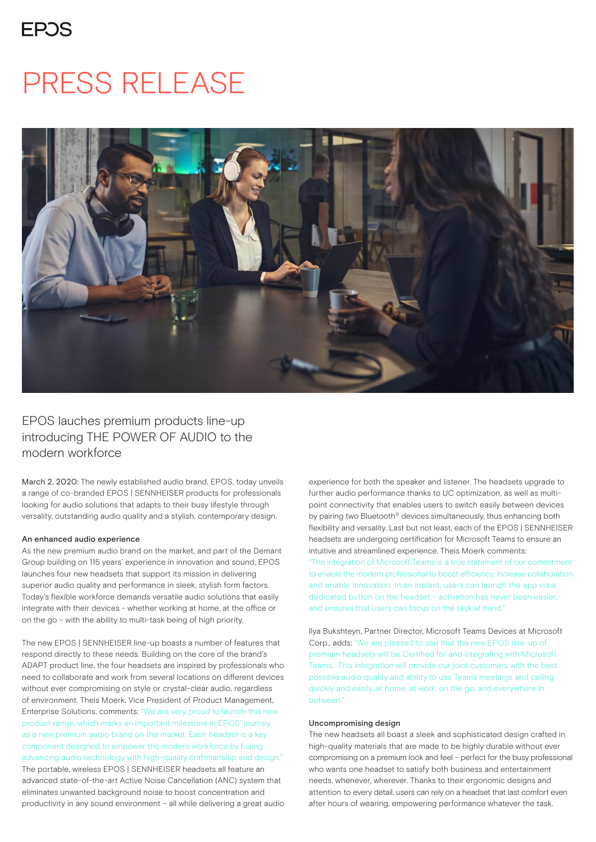### **FPOS**

## PRESS RELEASE



### EPOS lauches premium products line-up introducing THE POWER OF AUDIO to the modern workforce

March 2, 2020: The newly established audio brand, EPOS, today unveils a range of co-branded EPOS | SENNHEISER products for professionals looking for audio solutions that adapts to their busy lifestyle through versality, outstanding audio quality and a stylish, contemporary design.

### An enhanced audio experience

As the new premium audio brand on the market, and part of the Demant Group building on 115 years' experience in innovation and sound, EPOS launches four new headsets that support its mission in delivering superior audio quality and performance in sleek, stylish form factors. Today's flexible workforce demands versatile audio solutions that easily integrate with their devices - whether working at home, at the office or on the go – with the ability to multi-task being of high priority.

The new EPOS | SENNHEISER line-up boasts a number of features that respond directly to these needs. Building on the core of the brand's ADAPT product line, the four headsets are inspired by professionals who need to collaborate and work from several locations on different devices without ever compromising on style or crystal-clear audio, regardless of environment. Theis Moerk, Vice President of Product Management, Enterprise Solutions, comments: "We are very proud to launch this new product range, which marks an important milestone in EPOS' journey as a new premium audio brand on the market. Each headset is a key component designed to empower the modern workforce by fusing advancing audio technology with high-quality craftmanship and design." The portable, wireless EPOS | SENNHEISER headsets all feature an advanced state-of-the-art Active Noise Cancellation (ANC) system that eliminates unwanted background noise to boost concentration and productivity in any sound environment – all while delivering a great audio experience for both the speaker and listener. The headsets upgrade to further audio performance thanks to UC optimization, as well as multipoint connectivity that enables users to switch easily between devices by pairing two Bluetooth® devices simultaneously, thus enhancing both flexibility and versality. Last but not least, each of the EPOS | SENNHEISER headsets are undergoing certification for Microsoft Teams to ensure an intuitive and streamlined experience. Theis Moerk comments: "The integration of Microsoft Teams is a true statement of our commitment to enable the modern professional to boost efficiency, increase collaboration and enable innovation. In an instant, users can launch the app via a dedicated button on the headset – activation has never been easier, and ensures that users can focus on the task at hand"

Ilya Bukshteyn, Partner Director, Microsoft Teams Devices at Microsoft Corp., adds: "We are pleased to see that the new EPOS line-up of premium headsets will be Certified for and integrating with Microsoft Teams. This integration will provide our joint customers with the best possible audio quality and ability to use Teams meetings and calling quickly and easily, at home, at work, on the go, and everywhere in between."

### Uncompromising design

The new headsets all boast a sleek and sophisticated design crafted in high-quality materials that are made to be highly durable without ever compromising on a premium look and feel – perfect for the busy professional who wants one headset to satisfy both business and entertainment needs, whenever, wherever. Thanks to their ergonomic designs and attention to every detail, users can rely on a headset that last comfort even after hours of wearing, empowering performance whatever the task.